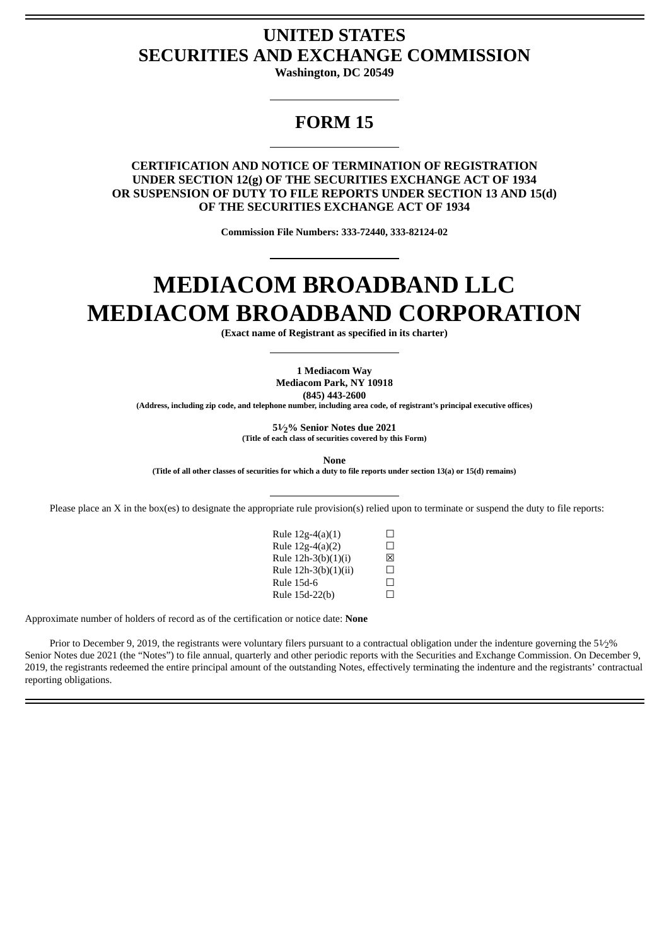### **UNITED STATES SECURITIES AND EXCHANGE COMMISSION**

**Washington, DC 20549**

## **FORM 15**

### **CERTIFICATION AND NOTICE OF TERMINATION OF REGISTRATION UNDER SECTION 12(g) OF THE SECURITIES EXCHANGE ACT OF 1934 OR SUSPENSION OF DUTY TO FILE REPORTS UNDER SECTION 13 AND 15(d) OF THE SECURITIES EXCHANGE ACT OF 1934**

**Commission File Numbers: 333-72440, 333-82124-02**

# **MEDIACOM BROADBAND LLC MEDIACOM BROADBAND CORPORATION**

**(Exact name of Registrant as specified in its charter)**

**1 Mediacom Way Mediacom Park, NY 10918 (845) 443-2600**

**(Address, including zip code, and telephone number, including area code, of registrant's principal executive offices)**

**51⁄2% Senior Notes due 2021 (Title of each class of securities covered by this Form)**

**None**

(Title of all other classes of securities for which a duty to file reports under section 13(a) or 15(d) remains)

Please place an X in the box(es) to designate the appropriate rule provision(s) relied upon to terminate or suspend the duty to file reports:

| Rule $12g-4(a)(1)$   | $\mathsf{L}$      |
|----------------------|-------------------|
| Rule 12g-4(a)(2)     | П                 |
| Rule 12h-3(b)(1)(i)  | 冈                 |
| Rule 12h-3(b)(1)(ii) | П                 |
| <b>Rule 15d-6</b>    | П                 |
| Rule 15d-22(b)       | $\vert \ \ \vert$ |

Approximate number of holders of record as of the certification or notice date: **None**

Prior to December 9, 2019, the registrants were voluntary filers pursuant to a contractual obligation under the indenture governing the  $51/2%$ Senior Notes due 2021 (the "Notes") to file annual, quarterly and other periodic reports with the Securities and Exchange Commission. On December 9, 2019, the registrants redeemed the entire principal amount of the outstanding Notes, effectively terminating the indenture and the registrants' contractual reporting obligations.